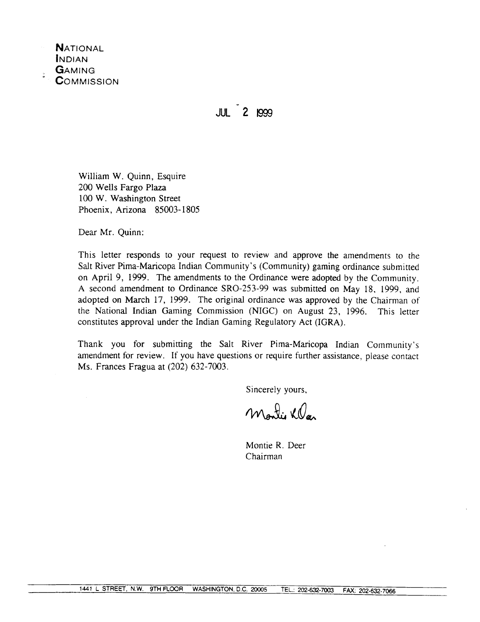

 $111 - 2$  1999

William W. Quinn, Esquire 200 Wells Fargo Plaza 100 W. Washington Street Phoenix, Arizona 85003-1805

Dear Mr. Quinn:

This letter responds to your request to review and approve the amendments to the Salt River Pima-Maricopa Indian Community's (Community) gaming ordinance submitted on April 9, 1999. The amendments to the Ordinance were adopted by the Community. A second amendment to Ordinance SRO-253-99 was submitted on May 18, 1999, and adopted on March 17, 1999. The original ordinance was approved by the Chairman of the National Indian Gaming Commission (NIGC) on August 23, 1996. This letter constitutes approval under the Indian Gaming Regulatory Act (IGRA).

Thank you for submitting the Salt River Pima-Maricopa Indian Community's amendment for review. If you have questions or require further assistance, please contact Ms. Frances Fragua at (202) 632-7003.

Sincerely yours,

Martie KO

Montie R. Deer Chairman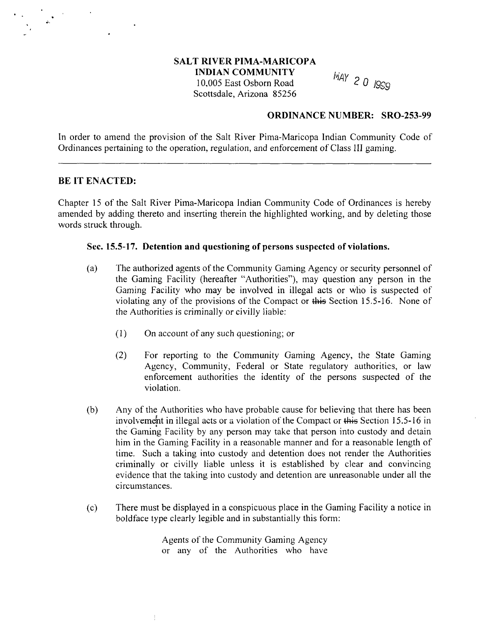# **SALT RIVER PIMA-MARICOPA**

**INDIAN COMMUNITY**

**10,005 East Osborn Road <sup>2</sup> <sup>0</sup> <sup>1909</sup> Scottsdale, Arizona 85256**

### **ORDINANCE NUMBER: SRO-253-99**

**In order to amend the provision of the Salt River Pima-Maricopa Indian Community Code of Ordinances pertaining to the operation, regulation, and enforcement of Class III gaming.**

### **BE IT ENACTED:**

**Chapter <sup>15</sup> of the Salt River Pima-Maricopa Indian Community Code of Ordinances is hereby amended by adding thereto and inserting therein the highlighted working, and by deleting those words struck through.**

#### **Sec. 15.5-17. Detention and questioning of persons suspected of violations.**

- **(a) The authorized agents of the Community Gaming Agency or security persoimel of the Gaming Facility (hereafter Authorities), may question any person in the Gaming Facility who may be involved in illegal acts or who is suspected of violating any of the provisions of the Compact or this Section 15.5-16. None of the Authorities is criminally or civilly liable:**
	- **(1) On account of any such questioning; or**
	- **(2) For reporting to the Community Gaming Agency, the State Gaming Agency, Community, Federal or State regulatory authorities, or law enforcement authorities the identity of the persons suspected of the violation.**
- **(b) Any of the Authorities who have probable cause for believing that there has been involvement** in illegal acts or a violation of the Compact or this Section 15.5-16 in **the Gaming Facility by any person may take that person into custody and detain him in the Gaming Facility in <sup>a</sup> reasonable manner and for <sup>a</sup> reasonable length of time. Such <sup>a</sup> taking into custody and detention does not render the Authorities criminally or civilly liable unless it is established by clear and convincing evidence that the taking into custody and detention are unreasonable under all the circumstances.**
- **(c) There must be displayed in <sup>a</sup> conspicuous place in the Gaming Facility <sup>a</sup> notice in boldface type clearly legible and in substantially this form:**

**Agents of the Community Gaming Agency or any of the Authorities who have**